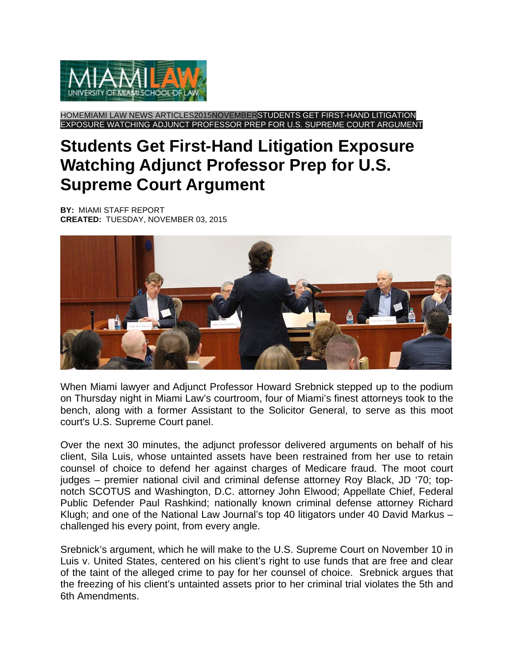

HOMEMIAMI LAW NEWS ARTICLES2015NOVEMBERSTUDENTS GET FIRST-HAND LITIGATION EXPOSURE WATCHING ADJUNCT PROFESSOR PREP FOR U.S. SUPREME COURT ARGUMENT

## **Students Get First-Hand Litigation Exposure Watching Adjunct Professor Prep for U.S. Supreme Court Argument**

**BY:** MIAMI STAFF REPORT **CREATED:** TUESDAY, NOVEMBER 03, 2015



When Miami lawyer and Adjunct Professor Howard Srebnick stepped up to the podium on Thursday night in Miami Law's courtroom, four of Miami's finest attorneys took to the bench, along with a former Assistant to the Solicitor General, to serve as this moot court's U.S. Supreme Court panel.

Over the next 30 minutes, the adjunct professor delivered arguments on behalf of his client, Sila Luis, whose untainted assets have been restrained from her use to retain counsel of choice to defend her against charges of Medicare fraud. The moot court judges – premier national civil and criminal defense attorney Roy Black, JD '70; topnotch SCOTUS and Washington, D.C. attorney John Elwood; Appellate Chief, Federal Public Defender Paul Rashkind; nationally known criminal defense attorney Richard Klugh; and one of the National Law Journal's top 40 litigators under 40 David Markus – challenged his every point, from every angle.

Srebnick's argument, which he will make to the U.S. Supreme Court on November 10 in Luis v. United States, centered on his client's right to use funds that are free and clear of the taint of the alleged crime to pay for her counsel of choice. Srebnick argues that the freezing of his client's untainted assets prior to her criminal trial violates the 5th and 6th Amendments.